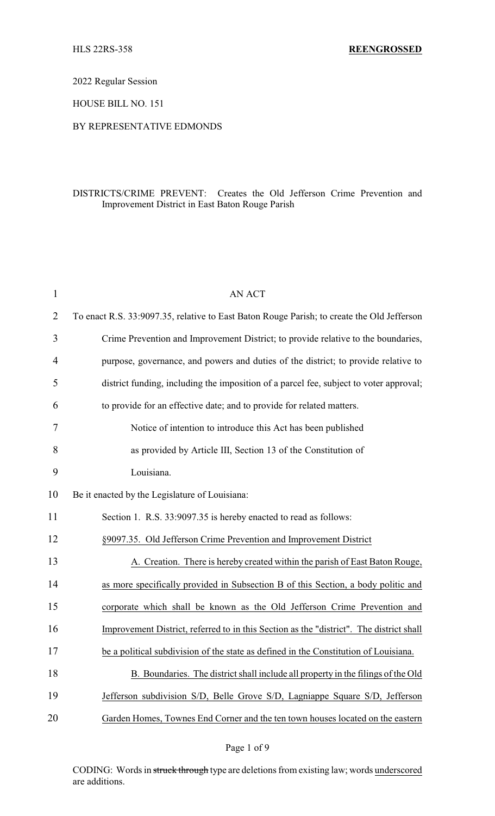2022 Regular Session

HOUSE BILL NO. 151

## BY REPRESENTATIVE EDMONDS

## DISTRICTS/CRIME PREVENT: Creates the Old Jefferson Crime Prevention and Improvement District in East Baton Rouge Parish

| $\mathbf{1}$   | <b>AN ACT</b>                                                                              |
|----------------|--------------------------------------------------------------------------------------------|
| $\overline{2}$ | To enact R.S. 33:9097.35, relative to East Baton Rouge Parish; to create the Old Jefferson |
| 3              | Crime Prevention and Improvement District; to provide relative to the boundaries,          |
| $\overline{4}$ | purpose, governance, and powers and duties of the district; to provide relative to         |
| 5              | district funding, including the imposition of a parcel fee, subject to voter approval;     |
| 6              | to provide for an effective date; and to provide for related matters.                      |
| 7              | Notice of intention to introduce this Act has been published                               |
| 8              | as provided by Article III, Section 13 of the Constitution of                              |
| 9              | Louisiana.                                                                                 |
| 10             | Be it enacted by the Legislature of Louisiana:                                             |
| 11             | Section 1. R.S. 33:9097.35 is hereby enacted to read as follows:                           |
| 12             | §9097.35. Old Jefferson Crime Prevention and Improvement District                          |
| 13             | A. Creation. There is hereby created within the parish of East Baton Rouge,                |
| 14             | as more specifically provided in Subsection B of this Section, a body politic and          |
| 15             | corporate which shall be known as the Old Jefferson Crime Prevention and                   |
| 16             | Improvement District, referred to in this Section as the "district". The district shall    |
| 17             | be a political subdivision of the state as defined in the Constitution of Louisiana.       |
| 18             | B. Boundaries. The district shall include all property in the filings of the Old           |
| 19             | Jefferson subdivision S/D, Belle Grove S/D, Lagniappe Square S/D, Jefferson                |
| 20             | Garden Homes, Townes End Corner and the ten town houses located on the eastern             |

Page 1 of 9

CODING: Words in struck through type are deletions from existing law; words underscored are additions.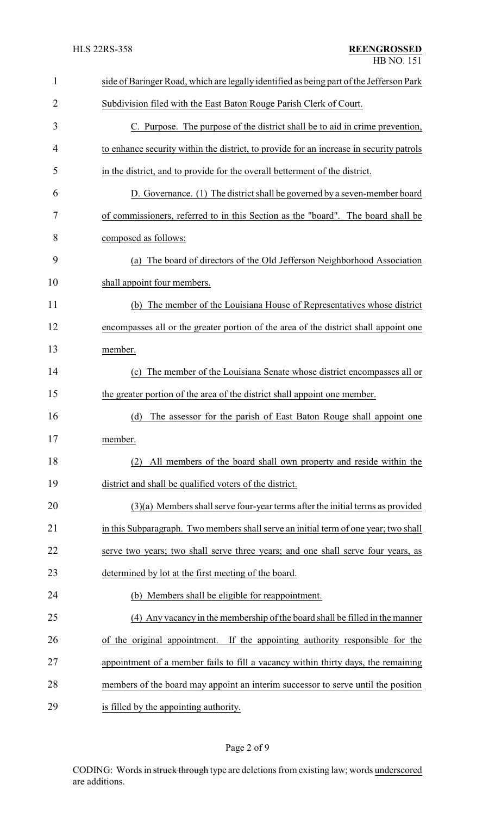| $\mathbf{1}$ | side of Baringer Road, which are legally identified as being part of the Jefferson Park |  |
|--------------|-----------------------------------------------------------------------------------------|--|
| 2            | Subdivision filed with the East Baton Rouge Parish Clerk of Court.                      |  |
| 3            | C. Purpose. The purpose of the district shall be to aid in crime prevention,            |  |
| 4            | to enhance security within the district, to provide for an increase in security patrols |  |
| 5            | in the district, and to provide for the overall betterment of the district.             |  |
| 6            | D. Governance. (1) The district shall be governed by a seven-member board               |  |
| 7            | of commissioners, referred to in this Section as the "board". The board shall be        |  |
| 8            | composed as follows:                                                                    |  |
| 9            | (a) The board of directors of the Old Jefferson Neighborhood Association                |  |
| 10           | shall appoint four members.                                                             |  |
| 11           | (b) The member of the Louisiana House of Representatives whose district                 |  |
| 12           | encompasses all or the greater portion of the area of the district shall appoint one    |  |
| 13           | member.                                                                                 |  |
| 14           | The member of the Louisiana Senate whose district encompasses all or<br>(c)             |  |
| 15           | the greater portion of the area of the district shall appoint one member.               |  |
| 16           | (d)<br>The assessor for the parish of East Baton Rouge shall appoint one                |  |
| 17           | member.                                                                                 |  |
| 18           | All members of the board shall own property and reside within the<br>(2)                |  |
| 19           | district and shall be qualified voters of the district.                                 |  |
| 20           | (3)(a) Members shall serve four-year terms after the initial terms as provided          |  |
| 21           | in this Subparagraph. Two members shall serve an initial term of one year; two shall    |  |
| 22           | serve two years; two shall serve three years; and one shall serve four years, as        |  |
| 23           | determined by lot at the first meeting of the board.                                    |  |
| 24           | (b) Members shall be eligible for reappointment.                                        |  |
| 25           | (4) Any vacancy in the membership of the board shall be filled in the manner            |  |
| 26           | If the appointing authority responsible for the<br>of the original appointment.         |  |
| 27           | appointment of a member fails to fill a vacancy within thirty days, the remaining       |  |
| 28           | members of the board may appoint an interim successor to serve until the position       |  |
| 29           | is filled by the appointing authority.                                                  |  |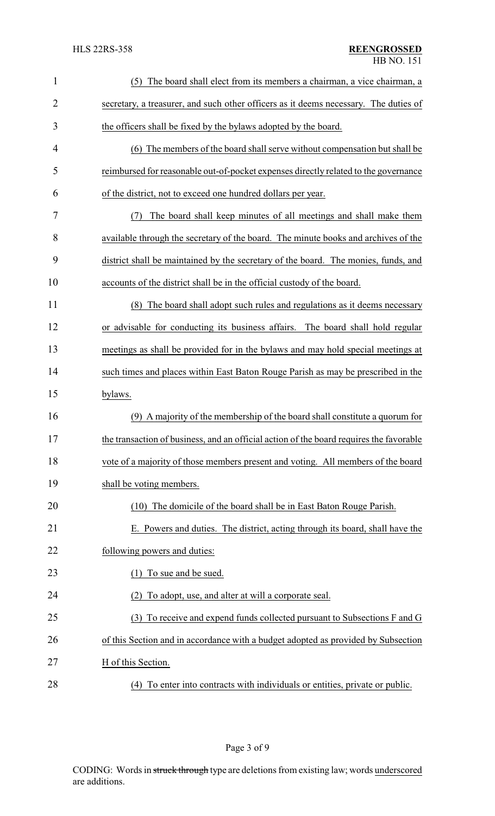| $\mathbf{1}$ | The board shall elect from its members a chairman, a vice chairman, a<br>(5)            |
|--------------|-----------------------------------------------------------------------------------------|
| 2            | secretary, a treasurer, and such other officers as it deems necessary. The duties of    |
| 3            | the officers shall be fixed by the bylaws adopted by the board.                         |
| 4            | (6) The members of the board shall serve without compensation but shall be              |
| 5            | reimbursed for reasonable out-of-pocket expenses directly related to the governance     |
| 6            | of the district, not to exceed one hundred dollars per year.                            |
| 7            | The board shall keep minutes of all meetings and shall make them<br>(7)                 |
| 8            | available through the secretary of the board. The minute books and archives of the      |
| 9            | district shall be maintained by the secretary of the board. The monies, funds, and      |
| 10           | accounts of the district shall be in the official custody of the board.                 |
| 11           | (8) The board shall adopt such rules and regulations as it deems necessary              |
| 12           | or advisable for conducting its business affairs. The board shall hold regular          |
| 13           | meetings as shall be provided for in the bylaws and may hold special meetings at        |
| 14           | such times and places within East Baton Rouge Parish as may be prescribed in the        |
| 15           | bylaws.                                                                                 |
| 16           | (9) A majority of the membership of the board shall constitute a quorum for             |
| 17           | the transaction of business, and an official action of the board requires the favorable |
| 18           | vote of a majority of those members present and voting. All members of the board        |
| 19           | shall be voting members.                                                                |
| 20           | (10) The domicile of the board shall be in East Baton Rouge Parish.                     |
| 21           | E. Powers and duties. The district, acting through its board, shall have the            |
| 22           | following powers and duties:                                                            |
| 23           | (1) To sue and be sued.                                                                 |
| 24           | To adopt, use, and alter at will a corporate seal.<br>(2)                               |
| 25           | To receive and expend funds collected pursuant to Subsections F and G<br>(3)            |
| 26           | of this Section and in accordance with a budget adopted as provided by Subsection       |
| 27           | H of this Section.                                                                      |
| 28           | (4) To enter into contracts with individuals or entities, private or public.            |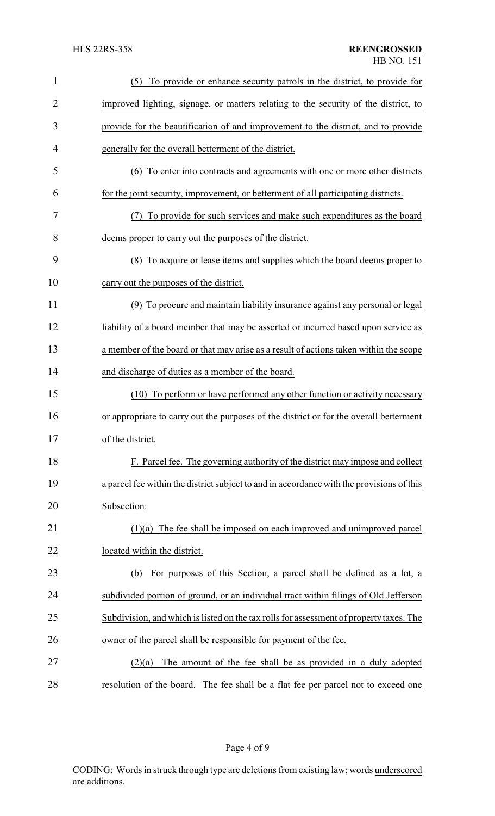| $\mathbf{1}$   | (5) To provide or enhance security patrols in the district, to provide for                |
|----------------|-------------------------------------------------------------------------------------------|
| $\overline{2}$ | improved lighting, signage, or matters relating to the security of the district, to       |
| 3              | provide for the beautification of and improvement to the district, and to provide         |
| 4              | generally for the overall betterment of the district.                                     |
| 5              | (6) To enter into contracts and agreements with one or more other districts               |
| 6              | for the joint security, improvement, or betterment of all participating districts.        |
| 7              | To provide for such services and make such expenditures as the board<br>(7)               |
| 8              | deems proper to carry out the purposes of the district.                                   |
| 9              | (8) To acquire or lease items and supplies which the board deems proper to                |
| 10             | carry out the purposes of the district.                                                   |
| 11             | (9) To procure and maintain liability insurance against any personal or legal             |
| 12             | liability of a board member that may be asserted or incurred based upon service as        |
| 13             | a member of the board or that may arise as a result of actions taken within the scope     |
| 14             | and discharge of duties as a member of the board.                                         |
| 15             | (10) To perform or have performed any other function or activity necessary                |
| 16             | or appropriate to carry out the purposes of the district or for the overall betterment    |
| 17             | of the district.                                                                          |
| 18             | F. Parcel fee. The governing authority of the district may impose and collect             |
| 19             | a parcel fee within the district subject to and in accordance with the provisions of this |
| 20             | Subsection:                                                                               |
| 21             | $(1)(a)$ The fee shall be imposed on each improved and unimproved parcel                  |
| 22             | located within the district.                                                              |
| 23             | For purposes of this Section, a parcel shall be defined as a lot, a<br>(b)                |
| 24             | subdivided portion of ground, or an individual tract within filings of Old Jefferson      |
| 25             | Subdivision, and which is listed on the tax rolls for assessment of property taxes. The   |
| 26             | owner of the parcel shall be responsible for payment of the fee.                          |
| 27             | The amount of the fee shall be as provided in a duly adopted<br>(2)(a)                    |
| 28             | resolution of the board. The fee shall be a flat fee per parcel not to exceed one         |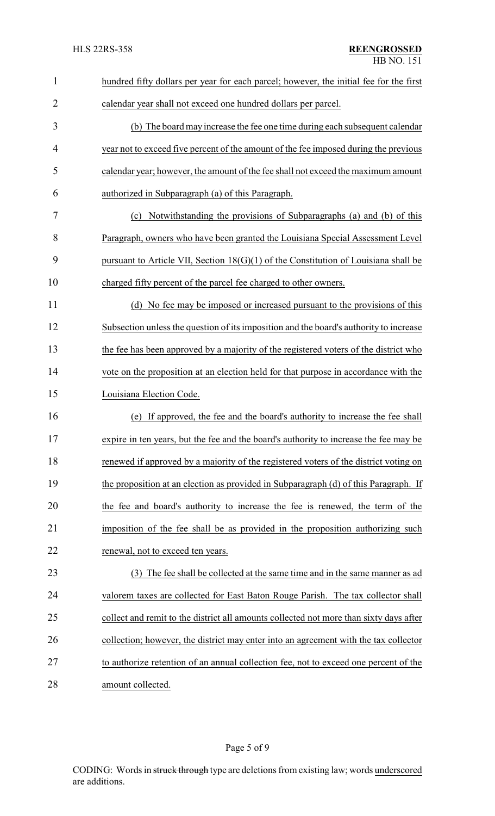| $\mathbf{1}$   | hundred fifty dollars per year for each parcel; however, the initial fee for the first |
|----------------|----------------------------------------------------------------------------------------|
| $\overline{2}$ | calendar year shall not exceed one hundred dollars per parcel.                         |
| 3              | (b) The board may increase the fee one time during each subsequent calendar            |
| 4              | year not to exceed five percent of the amount of the fee imposed during the previous   |
| 5              | calendar year; however, the amount of the fee shall not exceed the maximum amount      |
| 6              | authorized in Subparagraph (a) of this Paragraph.                                      |
| 7              | Notwithstanding the provisions of Subparagraphs (a) and (b) of this<br>(c)             |
| 8              | Paragraph, owners who have been granted the Louisiana Special Assessment Level         |
| 9              | pursuant to Article VII, Section $18(G)(1)$ of the Constitution of Louisiana shall be  |
| 10             | charged fifty percent of the parcel fee charged to other owners.                       |
| 11             | (d) No fee may be imposed or increased pursuant to the provisions of this              |
| 12             | Subsection unless the question of its imposition and the board's authority to increase |
| 13             | the fee has been approved by a majority of the registered voters of the district who   |
| 14             | vote on the proposition at an election held for that purpose in accordance with the    |
| 15             | Louisiana Election Code.                                                               |
| 16             | If approved, the fee and the board's authority to increase the fee shall<br>(e)        |
| 17             | expire in ten years, but the fee and the board's authority to increase the fee may be  |
| 18             | renewed if approved by a majority of the registered voters of the district voting on   |
| 19             | the proposition at an election as provided in Subparagraph (d) of this Paragraph. If   |
| 20             | the fee and board's authority to increase the fee is renewed, the term of the          |
| 21             | imposition of the fee shall be as provided in the proposition authorizing such         |
| 22             | renewal, not to exceed ten years.                                                      |
| 23             | (3) The fee shall be collected at the same time and in the same manner as ad           |
| 24             | valorem taxes are collected for East Baton Rouge Parish. The tax collector shall       |
| 25             | collect and remit to the district all amounts collected not more than sixty days after |
| 26             | collection; however, the district may enter into an agreement with the tax collector   |
| 27             | to authorize retention of an annual collection fee, not to exceed one percent of the   |
| 28             | amount collected.                                                                      |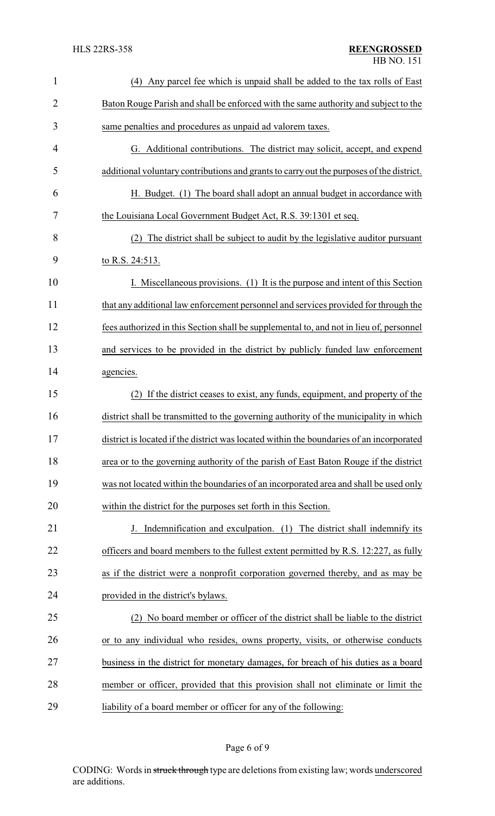| $\mathbf{1}$   | (4) Any parcel fee which is unpaid shall be added to the tax rolls of East               |
|----------------|------------------------------------------------------------------------------------------|
| $\overline{2}$ | Baton Rouge Parish and shall be enforced with the same authority and subject to the      |
| 3              | same penalties and procedures as unpaid ad valorem taxes.                                |
| 4              | G. Additional contributions. The district may solicit, accept, and expend                |
| 5              | additional voluntary contributions and grants to carry out the purposes of the district. |
| 6              | H. Budget. (1) The board shall adopt an annual budget in accordance with                 |
| 7              | the Louisiana Local Government Budget Act, R.S. 39:1301 et seq.                          |
| 8              | (2) The district shall be subject to audit by the legislative auditor pursuant           |
| 9              | to R.S. 24:513.                                                                          |
| 10             | I. Miscellaneous provisions. (1) It is the purpose and intent of this Section            |
| 11             | that any additional law enforcement personnel and services provided for through the      |
| 12             | fees authorized in this Section shall be supplemental to, and not in lieu of, personnel  |
| 13             | and services to be provided in the district by publicly funded law enforcement           |
| 14             | agencies.                                                                                |
| 15             | If the district ceases to exist, any funds, equipment, and property of the<br>(2)        |
| 16             | district shall be transmitted to the governing authority of the municipality in which    |
| 17             | district is located if the district was located within the boundaries of an incorporated |
| 18             | area or to the governing authority of the parish of East Baton Rouge if the district     |
| 19             | was not located within the boundaries of an incorporated area and shall be used only     |
| 20             | within the district for the purposes set forth in this Section.                          |
| 21             | J. Indemnification and exculpation. (1) The district shall indemnify its                 |
| 22             | officers and board members to the fullest extent permitted by R.S. 12:227, as fully      |
| 23             | as if the district were a nonprofit corporation governed thereby, and as may be          |
| 24             | provided in the district's bylaws.                                                       |
| 25             | (2) No board member or officer of the district shall be liable to the district           |
| 26             | or to any individual who resides, owns property, visits, or otherwise conducts           |
| 27             | business in the district for monetary damages, for breach of his duties as a board       |
| 28             | member or officer, provided that this provision shall not eliminate or limit the         |
| 29             | liability of a board member or officer for any of the following:                         |

## Page 6 of 9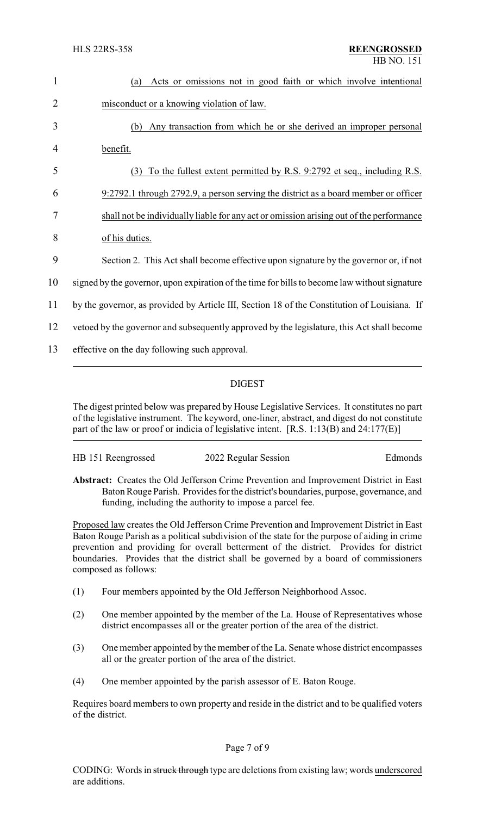| 1  | Acts or omissions not in good faith or which involve intentional<br>(a)                       |
|----|-----------------------------------------------------------------------------------------------|
| 2  | misconduct or a knowing violation of law.                                                     |
| 3  | Any transaction from which he or she derived an improper personal<br>(b)                      |
| 4  | benefit.                                                                                      |
| 5  | To the fullest extent permitted by R.S. 9:2792 et seq., including R.S.<br>(3)                 |
| 6  | 9:2792.1 through 2792.9, a person serving the district as a board member or officer           |
| 7  | shall not be individually liable for any act or omission arising out of the performance       |
| 8  | of his duties.                                                                                |
| 9  | Section 2. This Act shall become effective upon signature by the governor or, if not          |
| 10 | signed by the governor, upon expiration of the time for bills to become law without signature |
| 11 | by the governor, as provided by Article III, Section 18 of the Constitution of Louisiana. If  |
| 12 | vetoed by the governor and subsequently approved by the legislature, this Act shall become    |
| 13 | effective on the day following such approval.                                                 |

## DIGEST

The digest printed below was prepared by House Legislative Services. It constitutes no part of the legislative instrument. The keyword, one-liner, abstract, and digest do not constitute part of the law or proof or indicia of legislative intent. [R.S. 1:13(B) and 24:177(E)]

| HB 151 Reengrossed | 2022 Regular Session | Edmonds |
|--------------------|----------------------|---------|
|                    |                      |         |

**Abstract:** Creates the Old Jefferson Crime Prevention and Improvement District in East Baton Rouge Parish. Provides for the district's boundaries, purpose, governance, and funding, including the authority to impose a parcel fee.

Proposed law creates the Old Jefferson Crime Prevention and Improvement District in East Baton Rouge Parish as a political subdivision of the state for the purpose of aiding in crime prevention and providing for overall betterment of the district. Provides for district boundaries. Provides that the district shall be governed by a board of commissioners composed as follows:

- (1) Four members appointed by the Old Jefferson Neighborhood Assoc.
- (2) One member appointed by the member of the La. House of Representatives whose district encompasses all or the greater portion of the area of the district.
- (3) One member appointed by the member of the La. Senate whose district encompasses all or the greater portion of the area of the district.
- (4) One member appointed by the parish assessor of E. Baton Rouge.

Requires board members to own property and reside in the district and to be qualified voters of the district.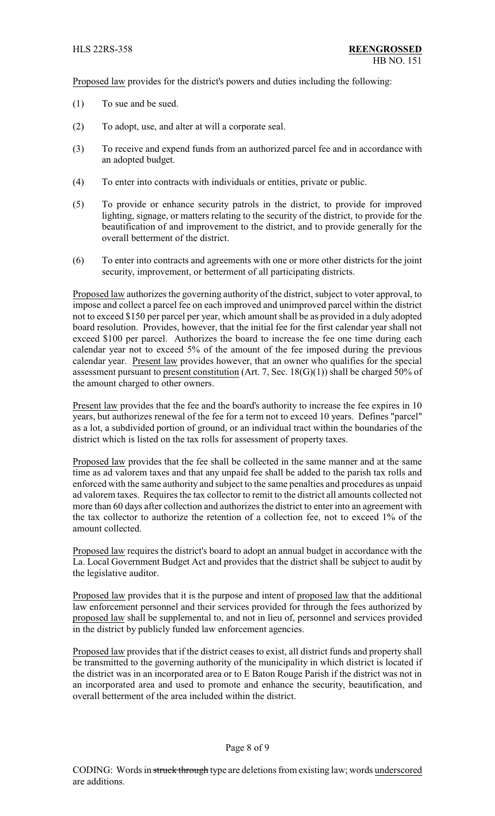Proposed law provides for the district's powers and duties including the following:

- (1) To sue and be sued.
- (2) To adopt, use, and alter at will a corporate seal.
- (3) To receive and expend funds from an authorized parcel fee and in accordance with an adopted budget.
- (4) To enter into contracts with individuals or entities, private or public.
- (5) To provide or enhance security patrols in the district, to provide for improved lighting, signage, or matters relating to the security of the district, to provide for the beautification of and improvement to the district, and to provide generally for the overall betterment of the district.
- (6) To enter into contracts and agreements with one or more other districts for the joint security, improvement, or betterment of all participating districts.

Proposed law authorizes the governing authority of the district, subject to voter approval, to impose and collect a parcel fee on each improved and unimproved parcel within the district not to exceed \$150 per parcel per year, which amount shall be as provided in a duly adopted board resolution. Provides, however, that the initial fee for the first calendar year shall not exceed \$100 per parcel. Authorizes the board to increase the fee one time during each calendar year not to exceed 5% of the amount of the fee imposed during the previous calendar year. Present law provides however, that an owner who qualifies for the special assessment pursuant to present constitution (Art. 7, Sec.  $18(G)(1)$ ) shall be charged 50% of the amount charged to other owners.

Present law provides that the fee and the board's authority to increase the fee expires in 10 years, but authorizes renewal of the fee for a term not to exceed 10 years. Defines "parcel" as a lot, a subdivided portion of ground, or an individual tract within the boundaries of the district which is listed on the tax rolls for assessment of property taxes.

Proposed law provides that the fee shall be collected in the same manner and at the same time as ad valorem taxes and that any unpaid fee shall be added to the parish tax rolls and enforced with the same authority and subject to the same penalties and procedures as unpaid ad valorem taxes. Requires the tax collector to remit to the district all amounts collected not more than 60 days after collection and authorizes the district to enter into an agreement with the tax collector to authorize the retention of a collection fee, not to exceed 1% of the amount collected.

Proposed law requires the district's board to adopt an annual budget in accordance with the La. Local Government Budget Act and provides that the district shall be subject to audit by the legislative auditor.

Proposed law provides that it is the purpose and intent of proposed law that the additional law enforcement personnel and their services provided for through the fees authorized by proposed law shall be supplemental to, and not in lieu of, personnel and services provided in the district by publicly funded law enforcement agencies.

Proposed law provides that if the district ceases to exist, all district funds and property shall be transmitted to the governing authority of the municipality in which district is located if the district was in an incorporated area or to E Baton Rouge Parish if the district was not in an incorporated area and used to promote and enhance the security, beautification, and overall betterment of the area included within the district.